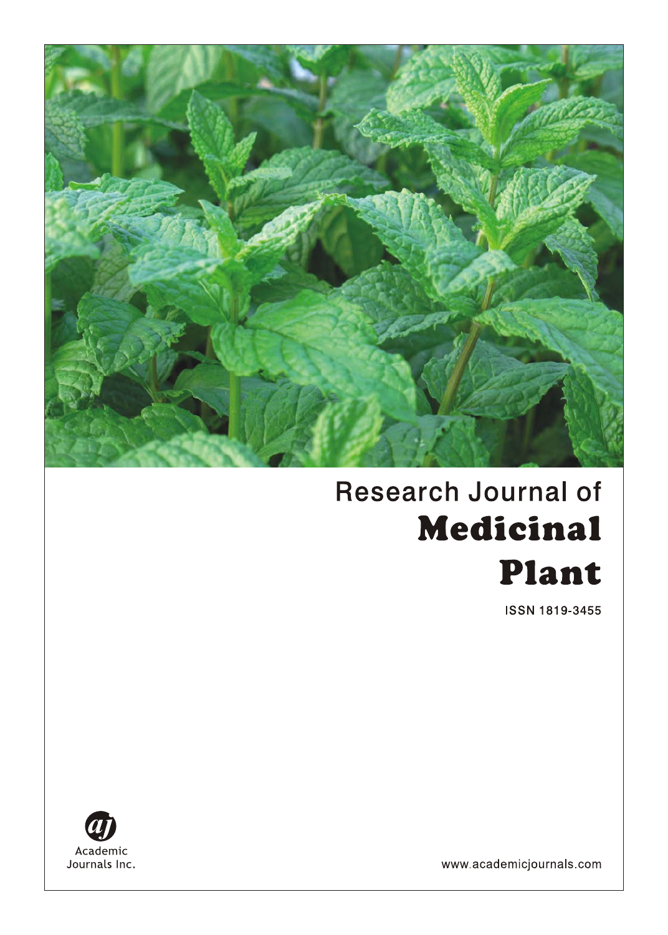

# **Research Journal of Medicinal** Plant

ISSN 1819-3455



www.academicjournals.com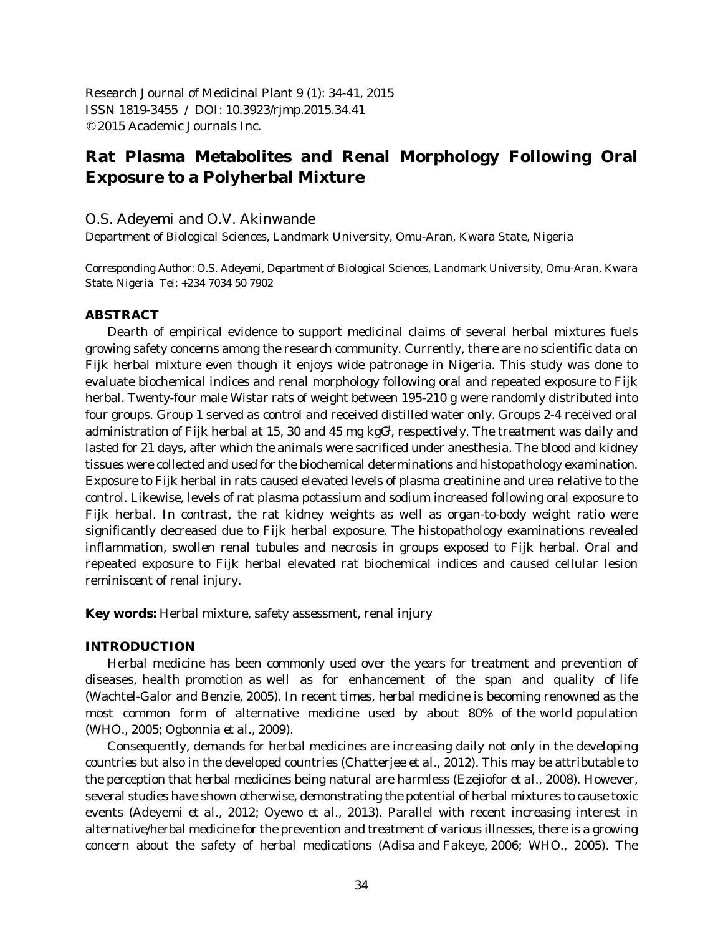Research Journal of Medicinal Plant 9 (1): 34-41, 2015 ISSN 1819-3455 / DOI: 10.3923/rjmp.2015.34.41 © 2015 Academic Journals Inc.

# **Rat Plasma Metabolites and Renal Morphology Following Oral Exposure to a Polyherbal Mixture**

# O.S. Adeyemi and O.V. Akinwande

Department of Biological Sciences, Landmark University, Omu-Aran, Kwara State, Nigeria

*Corresponding Author: O.S. Adeyemi, Department of Biological Sciences, Landmark University, Omu-Aran, Kwara State, Nigeria Tel: +234 7034 50 7902*

## **ABSTRACT**

Dearth of empirical evidence to support medicinal claims of several herbal mixtures fuels growing safety concerns among the research community. Currently, there are no scientific data on Fijk herbal mixture even though it enjoys wide patronage in Nigeria. This study was done to evaluate biochemical indices and renal morphology following oral and repeated exposure to Fijk herbal. Twenty-four male Wistar rats of weight between 195-210 g were randomly distributed into four groups. Group 1 served as control and received distilled water only. Groups 2-4 received oral administration of Fijk herbal at 15, 30 and 45 mg  $kgG<sup>1</sup>$ , respectively. The treatment was daily and lasted for 21 days, after which the animals were sacrificed under anesthesia. The blood and kidney tissues were collected and used for the biochemical determinations and histopathology examination. Exposure to Fijk herbal in rats caused elevated levels of plasma creatinine and urea relative to the control. Likewise, levels of rat plasma potassium and sodium increased following oral exposure to Fijk herbal. In contrast, the rat kidney weights as well as organ-to-body weight ratio were significantly decreased due to Fijk herbal exposure. The histopathology examinations revealed inflammation, swollen renal tubules and necrosis in groups exposed to Fijk herbal. Oral and repeated exposure to Fijk herbal elevated rat biochemical indices and caused cellular lesion reminiscent of renal injury.

**Key words:** Herbal mixture, safety assessment, renal injury

# **INTRODUCTION**

Herbal medicine has been commonly used over the years for treatment and prevention of diseases, health promotion as well as for enhancement of the span and quality of life (Wachtel-Galor and Benzie, 2005). In recent times, herbal medicine is becoming renowned as the most common form of alternative medicine used by about 80% of the world population (WHO., 2005; Ogbonnia *et al*., 2009).

Consequently, demands for herbal medicines are increasing daily not only in the developing countries but also in the developed countries (Chatterjee *et al*., 2012). This may be attributable to the perception that herbal medicines being natural are harmless (Ezejiofor *et al*., 2008). However, several studies have shown otherwise, demonstrating the potential of herbal mixtures to cause toxic events (Adeyemi *et al*., 2012; Oyewo *et al*., 2013). Parallel with recent increasing interest in alternative/herbal medicine for the prevention and treatment of various illnesses, there is a growing concern about the safety of herbal medications (Adisa and Fakeye, 2006; WHO., 2005). The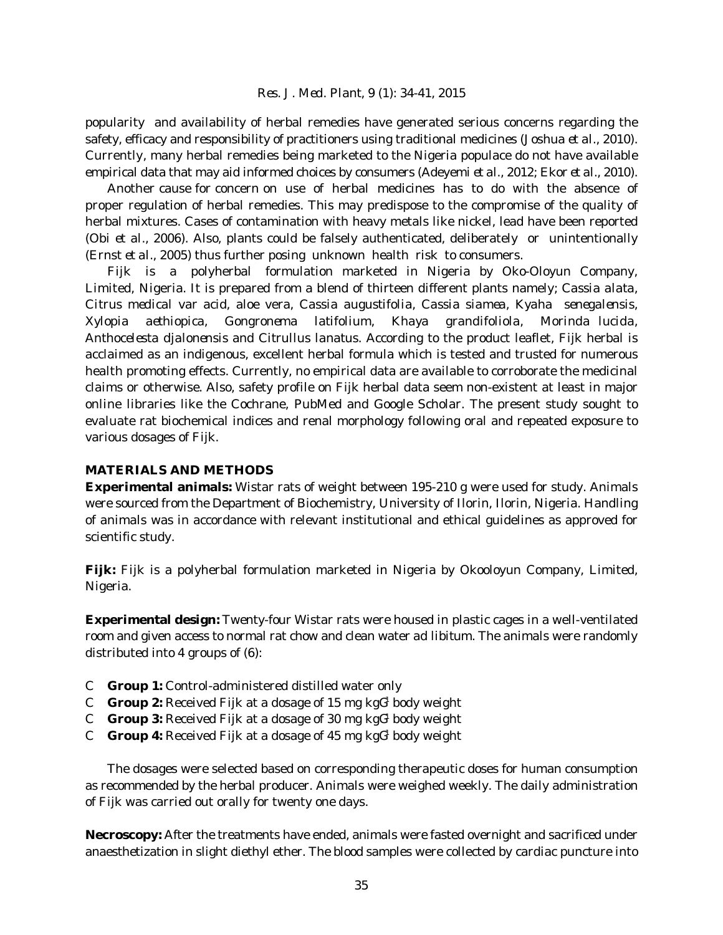popularity and availability of herbal remedies have generated serious concerns regarding the safety, efficacy and responsibility of practitioners using traditional medicines (Joshua *et al*., 2010). Currently, many herbal remedies being marketed to the Nigeria populace do not have available empirical data that may aid informed choices by consumers (Adeyemi *et al*., 2012; Ekor *et al*., 2010).

Another cause for concern on use of herbal medicines has to do with the absence of proper regulation of herbal remedies. This may predispose to the compromise of the quality of herbal mixtures. Cases of contamination with heavy metals like nickel, lead have been reported (Obi *et al*., 2006). Also, plants could be falsely authenticated, deliberately or unintentionally (Ernst *et al*., 2005) thus further posing unknown health risk to consumers.

Fijk is a polyherbal formulation marketed in Nigeria by Oko-Oloyun Company, Limited, Nigeria. It is prepared from a blend of thirteen different plants namely; *Cassia alata*, *Citrus medical* var acid, aloe vera, *Cassia augustifolia*, *Cassia siamea*, *Kyaha senegalensis*, *Xylopia aethiopica*, *Gongronema latifolium*, *Khaya grandifoliola*, *Morinda lucida*, *Anthocelesta djalonensis* and *Citrullus lanatus*. According to the product leaflet, Fijk herbal is acclaimed as an indigenous, excellent herbal formula which is tested and trusted for numerous health promoting effects. Currently, no empirical data are available to corroborate the medicinal claims or otherwise. Also, safety profile on Fijk herbal data seem non-existent at least in major online libraries like the Cochrane, PubMed and Google Scholar. The present study sought to evaluate rat biochemical indices and renal morphology following oral and repeated exposure to various dosages of Fijk.

# **MATERIALS AND METHODS**

**Experimental animals:** Wistar rats of weight between 195-210 g were used for study. Animals were sourced from the Department of Biochemistry, University of Ilorin, Ilorin, Nigeria. Handling of animals was in accordance with relevant institutional and ethical guidelines as approved for scientific study.

**Fijk:** Fijk is a polyherbal formulation marketed in Nigeria by Okooloyun Company, Limited, Nigeria.

**Experimental design:** Twenty-four Wistar rats were housed in plastic cages in a well-ventilated room and given access to normal rat chow and clean water *ad libitum*. The animals were randomly distributed into 4 groups of (6):

- C **Group 1:** Control-administered distilled water only
- $C$  **Group 2:** Received Fijk at a dosage of 15 mg kg $G<sup>1</sup>$  body weight
- $C$  **Group 3:** Received Fijk at a dosage of 30 mg kg $G<sup>1</sup>$  body weight
- $\mathcal{C}$  **Group 4:** Received Fijk at a dosage of 45 mg kg $\mathcal{G}^1$  body weight

The dosages were selected based on corresponding therapeutic doses for human consumption as recommended by the herbal producer. Animals were weighed weekly. The daily administration of Fijk was carried out orally for twenty one days.

**Necroscopy:** After the treatments have ended, animals were fasted overnight and sacrificed under anaesthetization in slight diethyl ether. The blood samples were collected by cardiac puncture into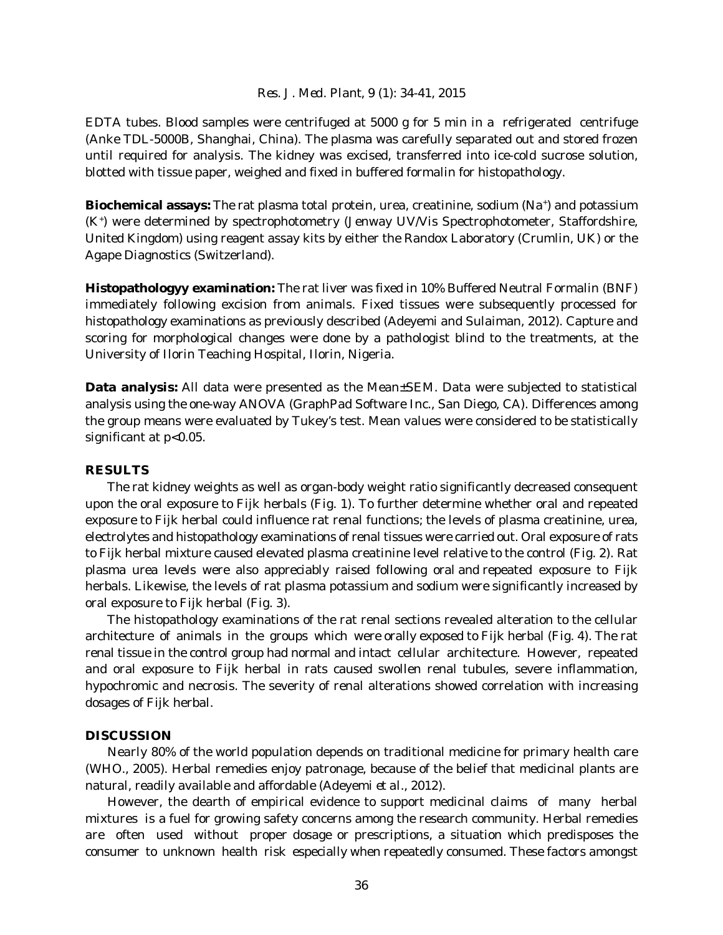EDTA tubes. Blood samples were centrifuged at 5000 g for 5 min in a refrigerated centrifuge (Anke TDL-5000B, Shanghai, China). The plasma was carefully separated out and stored frozen until required for analysis. The kidney was excised, transferred into ice-cold sucrose solution, blotted with tissue paper, weighed and fixed in buffered formalin for histopathology.

**Biochemical assays:** The rat plasma total protein, urea, creatinine, sodium (Na<sup>+</sup>) and potassium (K<sup>+</sup>) were determined by spectrophotometry (Jenway UV/Vis Spectrophotometer, Staffordshire, United Kingdom) using reagent assay kits by either the Randox Laboratory (Crumlin, UK) or the Agape Diagnostics (Switzerland).

**Histopathologyy examination:** The rat liver was fixed in 10% Buffered Neutral Formalin (BNF) immediately following excision from animals. Fixed tissues were subsequently processed for histopathology examinations as previously described (Adeyemi and Sulaiman, 2012). Capture and scoring for morphological changes were done by a pathologist blind to the treatments, at the University of Ilorin Teaching Hospital, Ilorin, Nigeria.

**Data analysis:** All data were presented as the Mean±SEM. Data were subjected to statistical analysis using the one-way ANOVA (GraphPad Software Inc., San Diego, CA). Differences among the group means were evaluated by Tukey's test. Mean values were considered to be statistically significant at  $p<0.05$ .

#### **RESULTS**

The rat kidney weights as well as organ-body weight ratio significantly decreased consequent upon the oral exposure to Fijk herbals (Fig. 1). To further determine whether oral and repeated exposure to Fijk herbal could influence rat renal functions; the levels of plasma creatinine, urea, electrolytes and histopathology examinations of renal tissues were carried out. Oral exposure of rats to Fijk herbal mixture caused elevated plasma creatinine level relative to the control (Fig. 2). Rat plasma urea levels were also appreciably raised following oral and repeated exposure to Fijk herbals. Likewise, the levels of rat plasma potassium and sodium were significantly increased by oral exposure to Fijk herbal (Fig. 3).

The histopathology examinations of the rat renal sections revealed alteration to the cellular architecture of animals in the groups which were orally exposed to Fijk herbal (Fig. 4). The rat renal tissue in the control group had normal and intact cellular architecture. However, repeated and oral exposure to Fijk herbal in rats caused swollen renal tubules, severe inflammation, hypochromic and necrosis. The severity of renal alterations showed correlation with increasing dosages of Fijk herbal.

#### **DISCUSSION**

Nearly 80% of the world population depends on traditional medicine for primary health care (WHO., 2005). Herbal remedies enjoy patronage, because of the belief that medicinal plants are natural, readily available and affordable (Adeyemi *et al*., 2012).

However, the dearth of empirical evidence to support medicinal claims of many herbal mixtures is a fuel for growing safety concerns among the research community. Herbal remedies are often used without proper dosage or prescriptions, a situation which predisposes the consumer to unknown health risk especially when repeatedly consumed. These factors amongst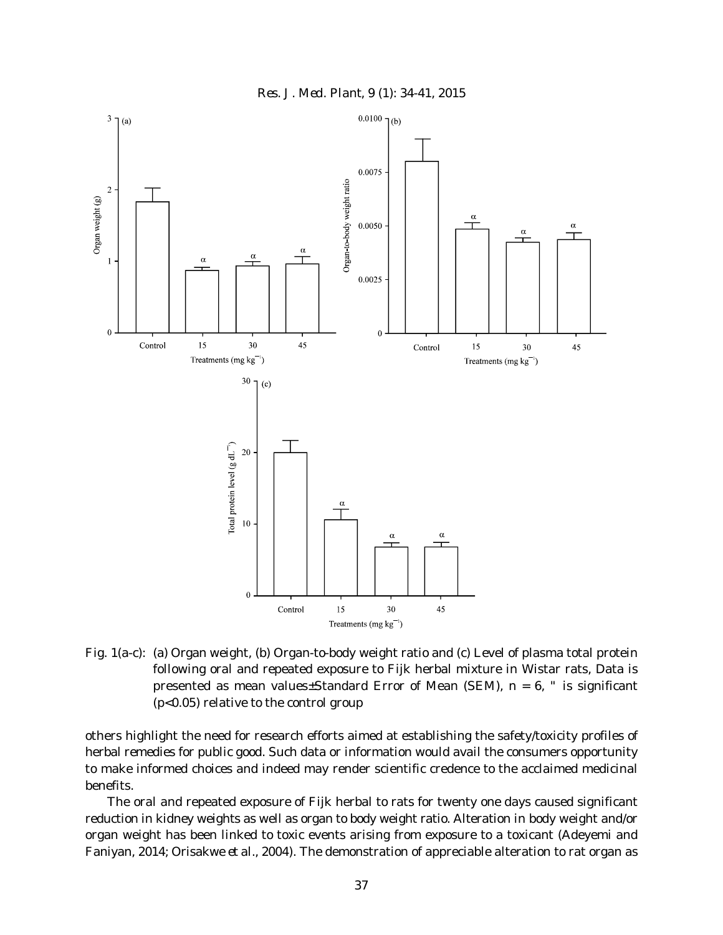



Fig. 1(a-c): (a) Organ weight, (b) Organ-to-body weight ratio and (c) Level of plasma total protein following oral and repeated exposure to Fijk herbal mixture in Wistar rats, Data is presented as mean values±Standard Error of Mean (SEM),  $n = 6$ , " is significant (p<0.05) relative to the control group

others highlight the need for research efforts aimed at establishing the safety/toxicity profiles of herbal remedies for public good. Such data or information would avail the consumers opportunity to make informed choices and indeed may render scientific credence to the acclaimed medicinal benefits.

The oral and repeated exposure of Fijk herbal to rats for twenty one days caused significant reduction in kidney weights as well as organ to body weight ratio. Alteration in body weight and/or organ weight has been linked to toxic events arising from exposure to a toxicant (Adeyemi and Faniyan, 2014; Orisakwe *et al*., 2004). The demonstration of appreciable alteration to rat organ as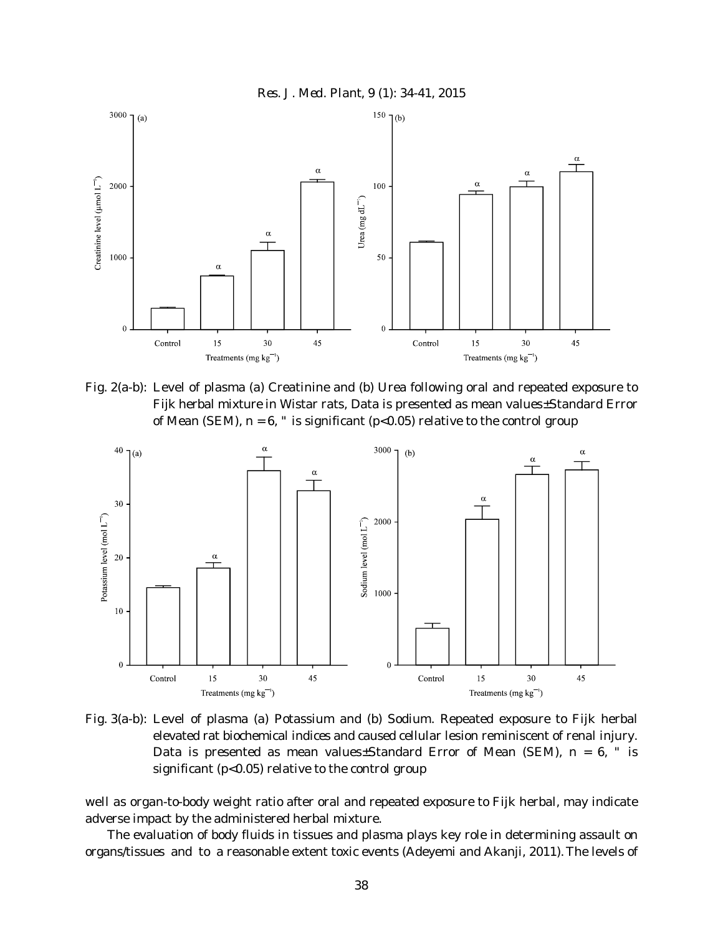



Fig. 2(a-b): Level of plasma (a) Creatinine and (b) Urea following oral and repeated exposure to Fijk herbal mixture in Wistar rats, Data is presented as mean values±Standard Error of Mean (SEM),  $n = 6$ , " is significant (p<0.05) relative to the control group



Fig. 3(a-b): Level of plasma (a) Potassium and (b) Sodium. Repeated exposure to Fijk herbal elevated rat biochemical indices and caused cellular lesion reminiscent of renal injury. Data is presented as mean values±Standard Error of Mean (SEM),  $n = 6$ , " is significant ( $p<0.05$ ) relative to the control group

well as organ-to-body weight ratio after oral and repeated exposure to Fijk herbal, may indicate adverse impact by the administered herbal mixture.

The evaluation of body fluids in tissues and plasma plays key role in determining assault on organs/tissues and to a reasonable extent toxic events (Adeyemi and Akanji, 2011).The levels of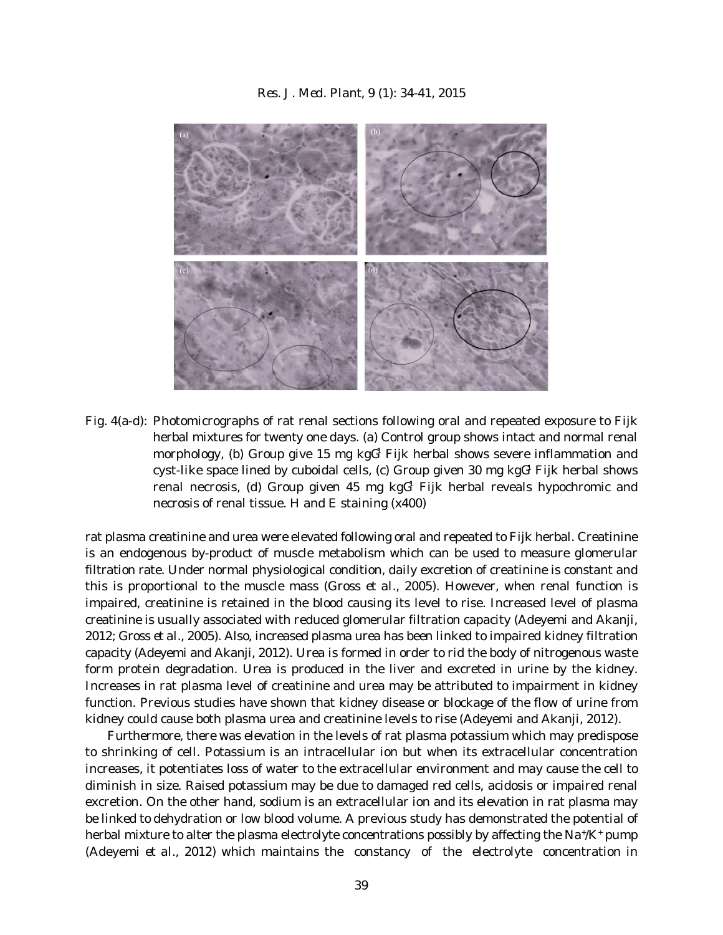

Fig. 4(a-d): Photomicrographs of rat renal sections following oral and repeated exposure to Fijk herbal mixtures for twenty one days. (a) Control group shows intact and normal renal morphology, (b) Group give 15 mg kgG<sup>1</sup> Fijk herbal shows severe inflammation and cyst-like space lined by cuboidal cells, (c) Group given 30 mg  $kgG<sup>1</sup>$  Fijk herbal shows renal necrosis, (d) Group given 45 mg kg $G<sup>1</sup>$  Fijk herbal reveals hypochromic and necrosis of renal tissue. H and E staining (x400)

rat plasma creatinine and urea were elevated following oral and repeated to Fijk herbal. Creatinine is an endogenous by-product of muscle metabolism which can be used to measure glomerular filtration rate. Under normal physiological condition, daily excretion of creatinine is constant and this is proportional to the muscle mass (Gross *et al*., 2005). However, when renal function is impaired, creatinine is retained in the blood causing its level to rise. Increased level of plasma creatinine is usually associated with reduced glomerular filtration capacity (Adeyemi and Akanji, 2012; Gross *et al*., 2005). Also, increased plasma urea has been linked to impaired kidney filtration capacity (Adeyemi and Akanji, 2012). Urea is formed in order to rid the body of nitrogenous waste form protein degradation. Urea is produced in the liver and excreted in urine by the kidney. Increases in rat plasma level of creatinine and urea may be attributed to impairment in kidney function. Previous studies have shown that kidney disease or blockage of the flow of urine from kidney could cause both plasma urea and creatinine levels to rise (Adeyemi and Akanji, 2012).

Furthermore, there was elevation in the levels of rat plasma potassium which may predispose to shrinking of cell. Potassium is an intracellular ion but when its extracellular concentration increases, it potentiates loss of water to the extracellular environment and may cause the cell to diminish in size. Raised potassium may be due to damaged red cells, acidosis or impaired renal excretion. On the other hand, sodium is an extracellular ion and its elevation in rat plasma may be linked to dehydration or low blood volume. A previous study has demonstrated the potential of herbal mixture to alter the plasma electrolyte concentrations possibly by affecting the Na+ $/K^+$  pump (Adeyemi *et al*., 2012) which maintains the constancy of the electrolyte concentration in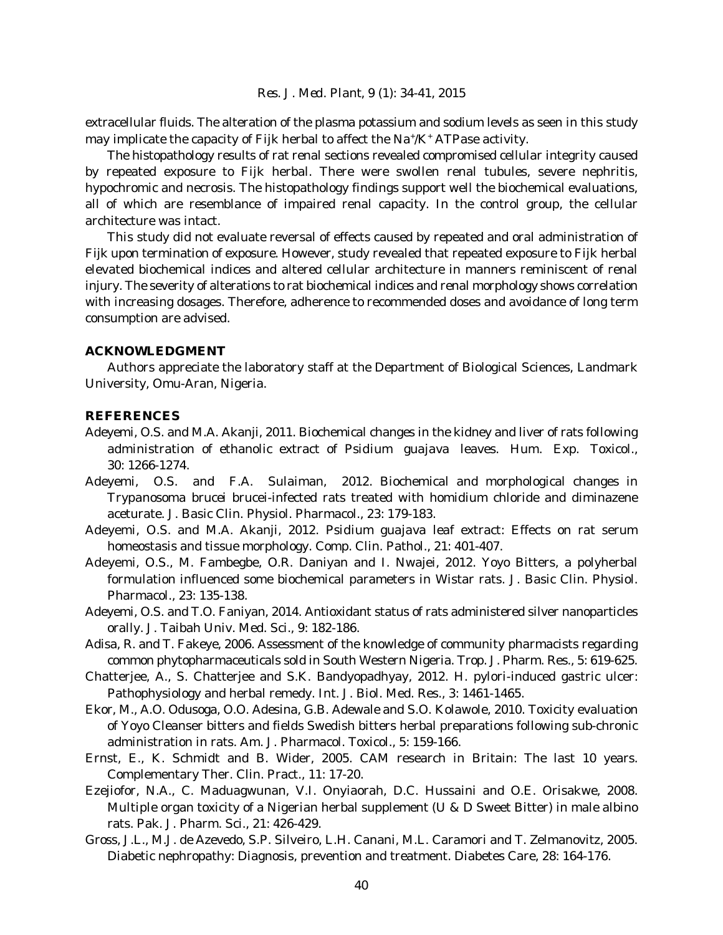extracellular fluids. The alteration of the plasma potassium and sodium levels as seen in this study may implicate the capacity of Fijk herbal to affect the  $Na^{\dagger}/K^{\dagger}$  ATPase activity.

The histopathology results of rat renal sections revealed compromised cellular integrity caused by repeated exposure to Fijk herbal. There were swollen renal tubules, severe nephritis, hypochromic and necrosis. The histopathology findings support well the biochemical evaluations, all of which are resemblance of impaired renal capacity. In the control group, the cellular architecture was intact.

This study did not evaluate reversal of effects caused by repeated and oral administration of Fijk upon termination of exposure. However, study revealed that repeated exposure to Fijk herbal elevated biochemical indices and altered cellular architecture in manners reminiscent of renal injury. The severity of alterations to rat biochemical indices and renal morphology shows correlation with increasing dosages. Therefore, adherence to recommended doses and avoidance of long term consumption are advised.

# **ACKNOWLEDGMENT**

Authors appreciate the laboratory staff at the Department of Biological Sciences, Landmark University, Omu-Aran, Nigeria.

### **REFERENCES**

- Adeyemi, O.S. and M.A. Akanji, 2011. Biochemical changes in the kidney and liver of rats following administration of ethanolic extract of *Psidium guajava* leaves. Hum. Exp. Toxicol., 30: 1266-1274.
- Adeyemi, O.S. and F.A. Sulaiman, 2012. Biochemical and morphological changes in *Trypanosoma brucei* brucei-infected rats treated with homidium chloride and diminazene aceturate. J. Basic Clin. Physiol. Pharmacol., 23: 179-183.
- Adeyemi, O.S. and M.A. Akanji, 2012. *Psidium guajava* leaf extract: Effects on rat serum homeostasis and tissue morphology. Comp. Clin. Pathol., 21: 401-407.
- Adeyemi, O.S., M. Fambegbe, O.R. Daniyan and I. Nwajei, 2012. Yoyo Bitters, a polyherbal formulation influenced some biochemical parameters in Wistar rats. J. Basic Clin. Physiol. Pharmacol., 23: 135-138.
- Adeyemi, O.S. and T.O. Faniyan, 2014. Antioxidant status of rats administered silver nanoparticles orally. J. Taibah Univ. Med. Sci., 9: 182-186.
- Adisa, R. and T. Fakeye, 2006. Assessment of the knowledge of community pharmacists regarding common phytopharmaceuticals sold in South Western Nigeria. Trop. J. Pharm. Res., 5: 619-625.
- Chatterjee, A., S. Chatterjee and S.K. Bandyopadhyay, 2012. *H. pylori*-induced gastric ulcer: Pathophysiology and herbal remedy. Int. J. Biol. Med. Res., 3: 1461-1465.
- Ekor, M., A.O. Odusoga, O.O. Adesina, G.B. Adewale and S.O. Kolawole, 2010. Toxicity evaluation of Yoyo Cleanser bitters and fields Swedish bitters herbal preparations following sub-chronic administration in rats. Am. J. Pharmacol. Toxicol., 5: 159-166.
- Ernst, E., K. Schmidt and B. Wider, 2005. CAM research in Britain: The last 10 years. Complementary Ther. Clin. Pract., 11: 17-20.
- Ezejiofor, N.A., C. Maduagwunan, V.I. Onyiaorah, D.C. Hussaini and O.E. Orisakwe, 2008. Multiple organ toxicity of a Nigerian herbal supplement (U & D Sweet Bitter) in male albino rats. Pak. J. Pharm. Sci., 21: 426-429.
- Gross, J.L., M.J. de Azevedo, S.P. Silveiro, L.H. Canani, M.L. Caramori and T. Zelmanovitz, 2005. Diabetic nephropathy: Diagnosis, prevention and treatment. Diabetes Care, 28: 164-176.